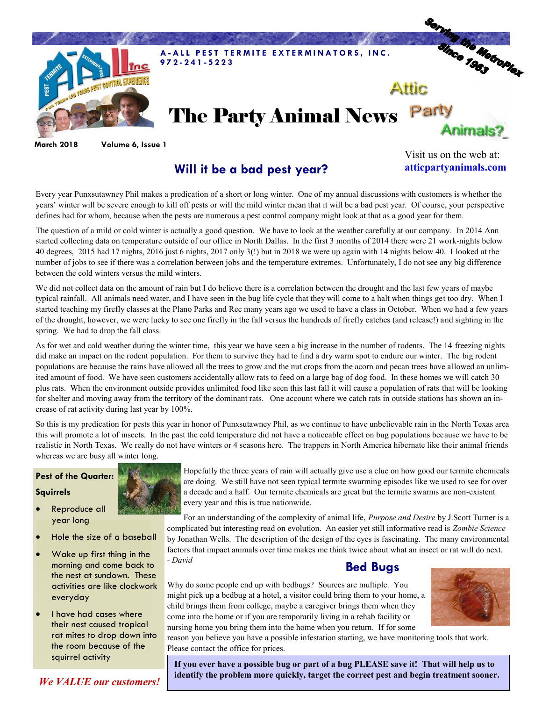

**March 2018 Volume 6, Issue 1**

## **Will it be a bad pest year?**

Visit us on the web at: **atticpartyanimals.com**

Every year Punxsutawney Phil makes a predication of a short or long winter. One of my annual discussions with customers is whether the years' winter will be severe enough to kill off pests or will the mild winter mean that it will be a bad pest year. Of course, your perspective defines bad for whom, because when the pests are numerous a pest control company might look at that as a good year for them.

The question of a mild or cold winter is actually a good question. We have to look at the weather carefully at our company. In 2014 Ann started collecting data on temperature outside of our office in North Dallas. In the first 3 months of 2014 there were 21 work-nights below 40 degrees, 2015 had 17 nights, 2016 just 6 nights, 2017 only 3(!) but in 2018 we were up again with 14 nights below 40. I looked at the number of jobs to see if there was a correlation between jobs and the temperature extremes. Unfortunately, I do not see any big difference between the cold winters versus the mild winters.

We did not collect data on the amount of rain but I do believe there is a correlation between the drought and the last few years of maybe typical rainfall. All animals need water, and I have seen in the bug life cycle that they will come to a halt when things get too dry. When I started teaching my firefly classes at the Plano Parks and Rec many years ago we used to have a class in October. When we had a few years of the drought, however, we were lucky to see one firefly in the fall versus the hundreds of firefly catches (and release!) and sighting in the spring. We had to drop the fall class.

As for wet and cold weather during the winter time, this year we have seen a big increase in the number of rodents. The 14 freezing nights did make an impact on the rodent population. For them to survive they had to find a dry warm spot to endure our winter. The big rodent populations are because the rains have allowed all the trees to grow and the nut crops from the acorn and pecan trees have allowed an unlimited amount of food. We have seen customers accidentally allow rats to feed on a large bag of dog food. In these homes we will catch 30 plus rats. When the environment outside provides unlimited food like seen this last fall it will cause a population of rats that will be looking for shelter and moving away from the territory of the dominant rats. One account where we catch rats in outside stations has shown an increase of rat activity during last year by 100%.

So this is my predication for pests this year in honor of Punxsutawney Phil, as we continue to have unbelievable rain in the North Texas area this will promote a lot of insects. In the past the cold temperature did not have a noticeable effect on bug populations because we have to be realistic in North Texas. We really do not have winters or 4 seasons here. The trappers in North America hibernate like their animal friends whereas we are busy all winter long.

#### **Pest of the Quarter:**

#### **Squirrels**

- Reproduce all year long
- Hole the size of a baseball
- Wake up first thing in the morning and come back to the nest at sundown. These activities are like clockwork everyday
- I have had cases where their nest caused tropical rat mites to drop down into the room because of the squirrel activity



Hopefully the three years of rain will actually give use a clue on how good our termite chemicals are doing. We still have not seen typical termite swarming episodes like we used to see for over a decade and a half. Our termite chemicals are great but the termite swarms are non-existent every year and this is true nationwide.

For an understanding of the complexity of animal life, *Purpose and Desire* by J.Scott Turner is a complicated but interesting read on evolution. An easier yet still informative read is *Zombie Science*  by Jonathan Wells. The description of the design of the eyes is fascinating. The many environmental factors that impact animals over time makes me think twice about what an insect or rat will do next. *- David*

### **Bed Bugs**

Why do some people end up with bedbugs? Sources are multiple. You might pick up a bedbug at a hotel, a visitor could bring them to your home, a child brings them from college, maybe a caregiver brings them when they come into the home or if you are temporarily living in a rehab facility or nursing home you bring them into the home when you return. If for some



reason you believe you have a possible infestation starting, we have monitoring tools that work. Please contact the office for prices.

**If you ever have a possible bug or part of a bug PLEASE save it! That will help us to identify the problem more quickly, target the correct pest and begin treatment sooner.** 

*We VALUE our customers!*